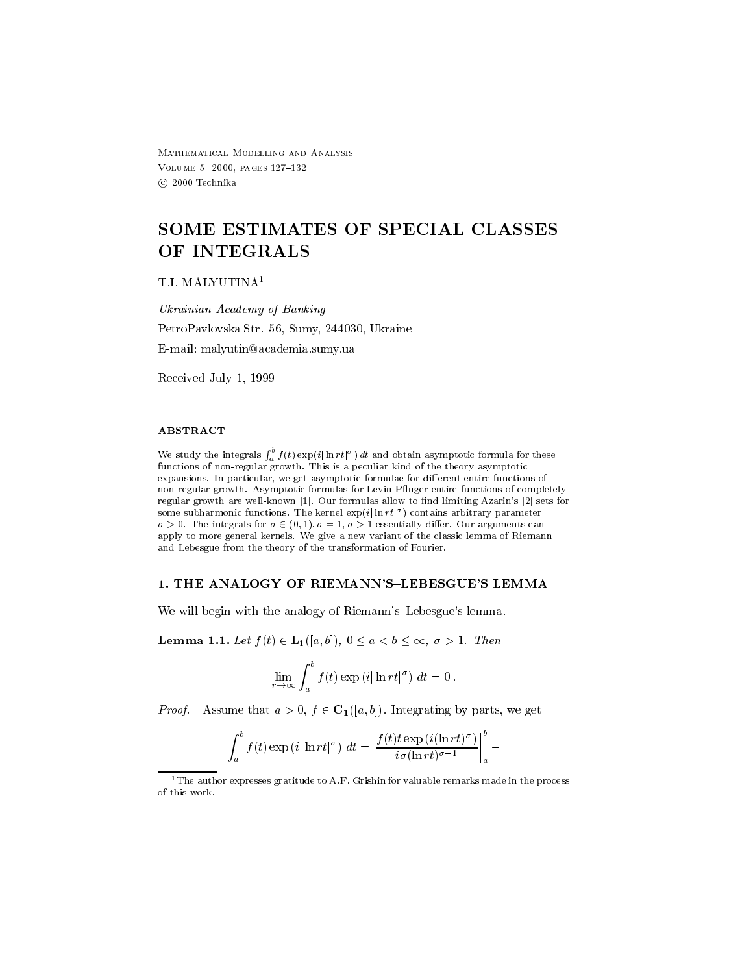Mathematical Modelling and Analysis volume and the second control of the second control of the second control of the second control of the second c (c) 2000 Technika

# SOME ESTIMATES OF SPECIAL CLASSES OF INTEGRALS

#### T.I. MALYUTINA<sup>1</sup>

Ukrainian Academy of Banking PetroPavlovska Str - Sumy in the Str - Summer in the Str - Summer in the Str - Summer in the Str - Summer in the Str email email, males in construction means the con-

Received July 

#### **ABSTRACT**

We study the integrals  $\int_a^b f(t) \exp(i|\ln rt|^{\sigma}) dt$  and obtain asymptotic formula for these functions of nonregular growth This is a peculiar kind of the theory asymptotic expansions in particular formulae formulae formulae formulae formulae formulae formulae formulae for dierent e non-regular growth. Asymptotic formulas for Levin-Pfluger entire functions of completely regular growth are well-known [1]. Our formulas allow to find limiting Azarin's [2] sets for some subharmonic functions. The kernel  $\exp(i|\ln r t|^{-})$  contains arbitrary parameter The integrals for - - - essentially dier Our arguments can apply to more general kernels. We give a new variant of the classic lemma of Riemann and Lebesgue from the theory of the transformation of Fourier 

We will begin with the analogy of Riemann's-Lebesgue's lemma.

**Lemma 1.1.** Let  $f(t) \in \mathbf{L}_1(|a,b|), 0 \leq a < b \leq \infty, \sigma > 1$ . Then

$$
\lim_{r\to\infty}\int_a^b f(t)\exp{(i|\ln rt|^{\sigma})} dt = 0.
$$

*Proof.* Assume that  $a > 0$ ,  $f \in C_1([a, b])$ . Integrating by parts, we get

$$
\int_a^b f(t) \exp(i|\ln rt|^{\sigma}) dt = \left. \frac{f(t)t \exp(i(\ln rt)^{\sigma})}{i\sigma(\ln rt)^{\sigma-1}} \right|_a^b -
$$

<sup>&</sup>lt;sup>1</sup>The author expresses gratitude to A.F. Grishin for valuable remarks made in the process of this work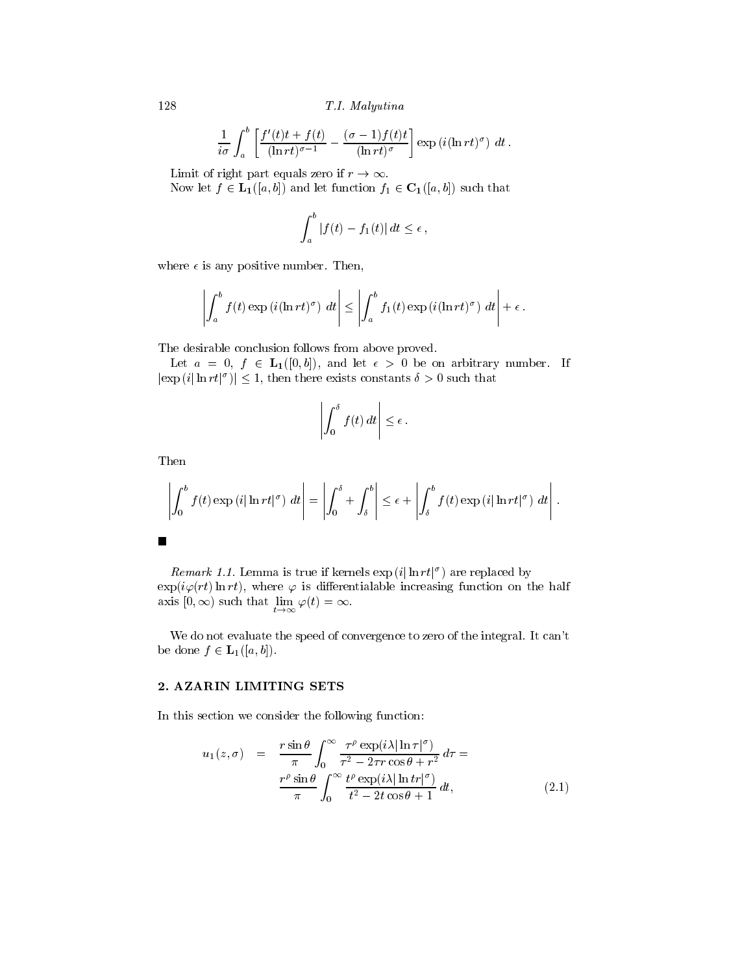128 T.I. Malyutina

$$
\frac{1}{i\sigma} \int_a^b \left[ \frac{f'(t)t + f(t)}{(\ln rt)^{\sigma - 1}} - \frac{(\sigma - 1)f(t)t}{(\ln rt)^{\sigma}} \right] \exp\left(i(\ln rt)^{\sigma}\right) dt.
$$

Limit of right part equals zero if  $r \to \infty$ .

Now let  $f \in L_1([a, b])$  and let function  $f_1 \in C_1([a, b])$  such that

$$
\int_a^b |f(t) - f_1(t)| dt \le \epsilon,
$$

where  $\epsilon$  is any positive number. Then,

$$
\left| \int_a^b f(t) \exp(i(\ln rt)^{\sigma}) \ dt \right| \leq \left| \int_a^b f_1(t) \exp(i(\ln rt)^{\sigma}) \ dt \right| + \epsilon.
$$

The desirable conclusion follows from above proved

Let  $a = 0, f \in L_1([0, b]),$  and let  $\epsilon > 0$  be on arbitrary number. If  $|\exp(i|\ln rt|^{\sigma})| \leq 1$ , then there exists constants  $\delta > 0$  such that

$$
\left|\int_0^\delta f(t)\,dt\right|\leq\epsilon\,.
$$

Then

$$
\left| \int_0^b f(t) \exp(i|\ln rt|^{\sigma}) \ dt \right| = \left| \int_0^{\delta} + \int_{\delta}^b \right| \leq \epsilon + \left| \int_{\delta}^b f(t) \exp(i|\ln rt|^{\sigma}) \ dt \right|.
$$

*Remark 1.1.* Lemma is true if kernels  $\exp(i|\ln rt|^{\sigma})$  are replaced by  $\exp(i\varphi(rt) \ln rt)$ , where  $\varphi$  is differentialable increasing function on the half axis  $[0, \infty)$  such that  $\lim_{t \to \infty} \varphi(t) = \infty$ .

We do not evaluate the speed of convergence to zero of the integral. It can't be done  $f \in \mathbf{L}_1([a, b]).$ 

### 2. AZARIN LIMITING SETS

In this section we consider the following function 

$$
u_1(z,\sigma) = \frac{r \sin \theta}{\pi} \int_0^\infty \frac{\tau^\rho \exp(i\lambda |\ln \tau|^\sigma)}{\tau^2 - 2\tau r \cos \theta + r^2} d\tau = \frac{r^\rho \sin \theta}{\pi} \int_0^\infty \frac{t^\rho \exp(i\lambda |\ln tr|^\sigma)}{t^2 - 2t \cos \theta + 1} dt,
$$
\n(2.1)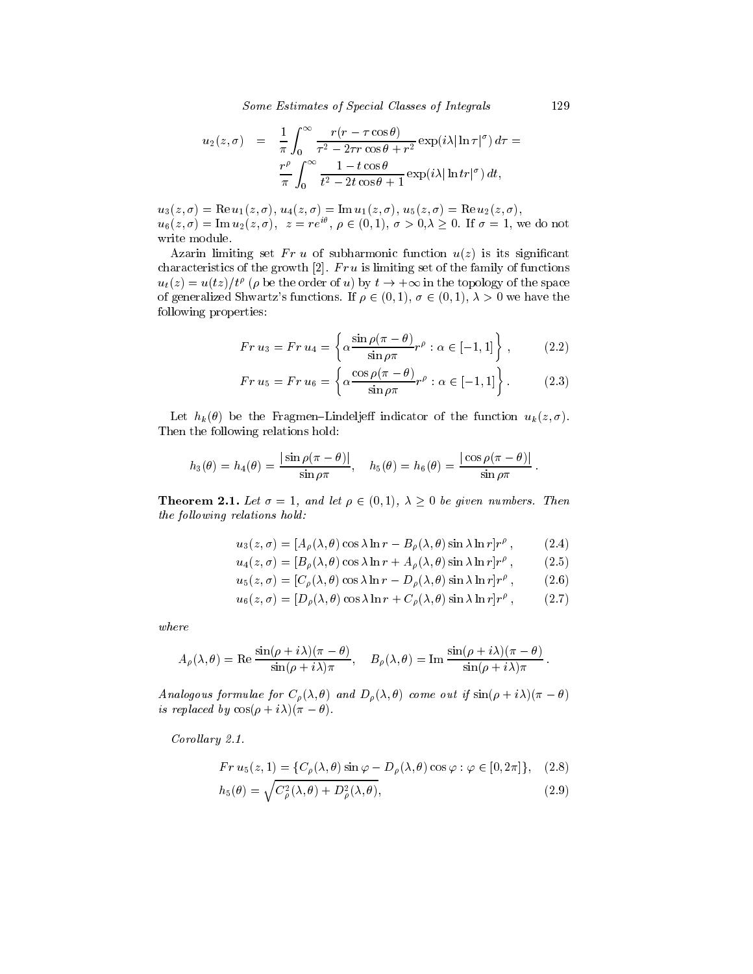Some Estimates of Special Classes of Integrals 

$$
u_2(z,\sigma) = \frac{1}{\pi} \int_0^\infty \frac{r(r-\tau\cos\theta)}{\tau^2 - 2\tau r\cos\theta + r^2} \exp(i\lambda |\ln \tau|^\sigma) d\tau =
$$
  

$$
\frac{r^\rho}{\pi} \int_0^\infty \frac{1 - t\cos\theta}{t^2 - 2t\cos\theta + 1} \exp(i\lambda |\ln tr|^\sigma) dt,
$$

 $\mathcal{L}(\mathcal{U}) = \mathcal{U}(\mathcal{U}) = \mathcal{U}(\mathcal{U}) = \mathcal{U}(\mathcal{U}) = \mathcal{U}(\mathcal{U}) = \mathcal{U}(\mathcal{U}) = \mathcal{U}(\mathcal{U}) = \mathcal{U}(\mathcal{U}) = \mathcal{U}(\mathcal{U}) = \mathcal{U}(\mathcal{U}) = \mathcal{U}(\mathcal{U}) = \mathcal{U}(\mathcal{U}) = \mathcal{U}(\mathcal{U}) = \mathcal{U}(\mathcal{U}) = \mathcal{U}(\mathcal{U}) = \mathcal{U}(\mathcal{U}) = \mathcal{U}(\mathcal{U})$  $u_6(z,\sigma) = \text{Im } u_2(z,\sigma), \ z = re^{i\theta}, \ \rho \in (0,1), \ \sigma > 0, \lambda \geq 0.$  If  $\sigma = 1$ , we do not write module

Azarin limiting set  $Fr u$  of subharmonic function  $u(z)$  is its significant characteristics of the growth  $[2]$ .  $Fr\,u$  is limiting set of the family of functions  $u_t(z) = u(tz)/t^{\nu}$  ( $\rho$  be the order of u) by  $t \to +\infty$  in the topology of the space of generalized Shwartz's functions. If  $\rho \in (0,1)$ ,  $\sigma \in (0,1)$ ,  $\lambda > 0$  we have the following properties 

$$
Fr u_3 = Fr u_4 = \left\{ \alpha \frac{\sin \rho (\pi - \theta)}{\sin \rho \pi} r^{\rho} : \alpha \in [-1, 1] \right\},\qquad(2.2)
$$

$$
Fr u_5 = Fr u_6 = \left\{ \alpha \frac{\cos \rho (\pi - \theta)}{\sin \rho \pi} r^{\rho} : \alpha \in [-1, 1] \right\}.
$$
 (2.3)

Let hk be the FragmenLindelje indicator of the function uk z - Then the following relations hold:

$$
h_3(\theta) = h_4(\theta) = \frac{|\sin \rho(\pi - \theta)|}{\sin \rho \pi}, \quad h_5(\theta) = h_6(\theta) = \frac{|\cos \rho(\pi - \theta)|}{\sin \rho \pi}.
$$

**Theorem 2.1.** Let  $\sigma = 1$ , and let  $\rho \in (0,1)$ ,  $\lambda \geq 0$  be given numbers. Then the following relations hold:

$$
u_3(z,\sigma) = [A_\rho(\lambda,\theta)\cos\lambda\ln r - B_\rho(\lambda,\theta)\sin\lambda\ln r]r^\rho ,\qquad(2.4)
$$

$$
u_4(z,\sigma) = [B_\rho(\lambda,\theta)\cos\lambda\ln r + A_\rho(\lambda,\theta)\sin\lambda\ln r]r^\rho ,\qquad (2.5)
$$

$$
u_5(z,\sigma) = [C_{\rho}(\lambda,\theta)\cos\lambda\ln r - D_{\rho}(\lambda,\theta)\sin\lambda\ln r]r^{\rho}, \qquad (2.6)
$$

$$
u_6(z,\sigma) = [D_o(\lambda,\theta)\cos\lambda\ln r + C_o(\lambda,\theta)\sin\lambda\ln r]r^{\rho}, \qquad (2.7)
$$

$$
A_{\rho}(\lambda,\theta) = \text{Re}\,\frac{\sin(\rho+i\lambda)(\pi-\theta)}{\sin(\rho+i\lambda)\pi}, \quad B_{\rho}(\lambda,\theta) = \text{Im}\,\frac{\sin(\rho+i\lambda)(\pi-\theta)}{\sin(\rho+i\lambda)\pi}.
$$

Analogous formulae for  $C_{\theta}(\lambda, \theta)$  and  $D_{\theta}(\lambda, \theta)$  come out if  $\sin(\beta + i\lambda)(\lambda = \theta)$ is replaced by  $cos(\rho + i\lambda)(\pi - \theta)$ .

Corol lary -

$$
Fr u_5(z,1) = \{ C_\rho(\lambda,\theta) \sin \varphi - D_\rho(\lambda,\theta) \cos \varphi : \varphi \in [0,2\pi] \}, \quad (2.8)
$$

$$
h_5(\theta) = \sqrt{C^2_{\rho}(\lambda, \theta) + D^2_{\rho}(\lambda, \theta)},\tag{2.9}
$$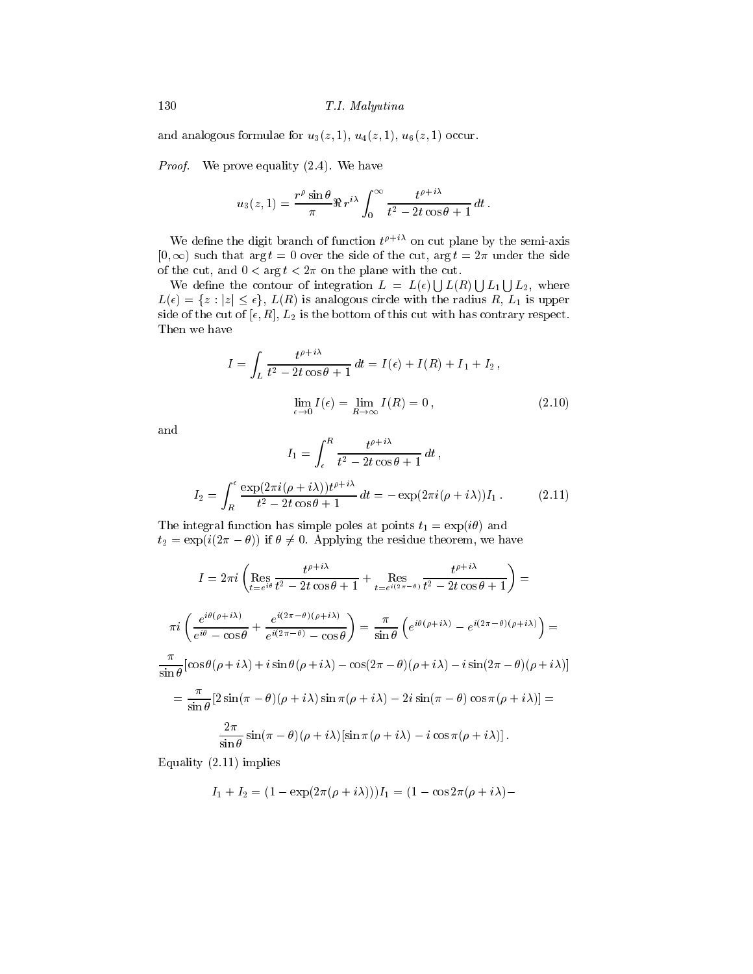and analogous formulae for  $u_3(z,1)$ ,  $u_4(z,1)$ ,  $u_6(z,1)$  occur.

*Proof.* We prove equality  $(2.4)$ . We have

$$
u_3(z,1) = \frac{r^{\rho} \sin \theta}{\pi} \Re r^{i\lambda} \int_0^{\infty} \frac{t^{\rho+i\lambda}}{t^2 - 2t \cos \theta + 1} dt.
$$

We define the digit branch of function  $t^*$  - on cut plane by the semi-axis  $\vert 0, \infty \rangle$  such that  $\arg t = 0$  over the side of the cut,  $\arg t = 2\pi$  under the side of the cut, and  $0 < \arg t < 2\pi$  on the plane with the cut.

We define the contour of integration  $L = L(\epsilon) | L(R) | L_1 | L_2$ , where  $L(\epsilon) = \{z : |z| \leq \epsilon\}, L(R)$  is analogous circle with the radius R,  $L_1$  is upper side of the cut of R L- is the bottom of this cut with has contrary respect Then we have

$$
I = \int_{L} \frac{t^{\rho + i\lambda}}{t^2 - 2t\cos\theta + 1} dt = I(\epsilon) + I(R) + I_1 + I_2,
$$
  

$$
\lim_{\epsilon \to 0} I(\epsilon) = \lim_{R \to \infty} I(R) = 0,
$$
 (2.10)

and

$$
I_1 = \int_{\epsilon}^{R} \frac{t^{\rho + i\lambda}}{t^2 - 2t\cos\theta + 1} dt,
$$
  
\n
$$
I_2 = \int_{R}^{\epsilon} \frac{\exp(2\pi i(\rho + i\lambda))t^{\rho + i\lambda}}{t^2 - 2t\cos\theta + 1} dt = -\exp(2\pi i(\rho + i\lambda))I_1.
$$
 (2.11)

The integral function has simple poles at points  $t_1 = \exp(i\theta)$  and  $t_2 = \exp(i(2\pi - \theta))$  if  $\theta \neq 0$ . Applying the residue theorem, we have

$$
I = 2\pi i \left( \underset{t=e^{i\theta}}{\text{Res}} \frac{t^{\rho+i\lambda}}{t^2 - 2t\cos\theta + 1} + \underset{t=e^{i(2\pi - \theta)}}{\text{Res}} \frac{t^{\rho+i\lambda}}{t^2 - 2t\cos\theta + 1} \right) =
$$
  

$$
\pi i \left( \frac{e^{i\theta(\rho+i\lambda)}}{e^{i\theta} - \cos\theta} + \frac{e^{i(2\pi - \theta)(\rho+i\lambda)}}{e^{i(2\pi - \theta)} - \cos\theta} \right) = \frac{\pi}{\sin\theta} \left( e^{i\theta(\rho+i\lambda)} - e^{i(2\pi - \theta)(\rho+i\lambda)} \right) =
$$
  

$$
\frac{\pi}{\sin\theta} \left[ \cos\theta(\rho+i\lambda) + i\sin\theta(\rho+i\lambda) - \cos(2\pi - \theta)(\rho+i\lambda) - i\sin(2\pi - \theta)(\rho+i\lambda) \right]
$$
  

$$
= \frac{\pi}{\sin\theta} \left[ 2\sin(\pi - \theta)(\rho+i\lambda)\sin\pi(\rho+i\lambda) - 2i\sin(\pi - \theta)\cos\pi(\rho+i\lambda) \right] =
$$
  

$$
\frac{2\pi}{\sin\theta} \sin(\pi - \theta)(\rho+i\lambda) \left[ \sin\pi(\rho+i\lambda) - i\cos\pi(\rho+i\lambda) \right].
$$

Equality  $(2.11)$  implies

$$
I_1 + I_2 = (1 - \exp(2\pi(\rho + i\lambda)))I_1 = (1 - \cos 2\pi(\rho + i\lambda) -
$$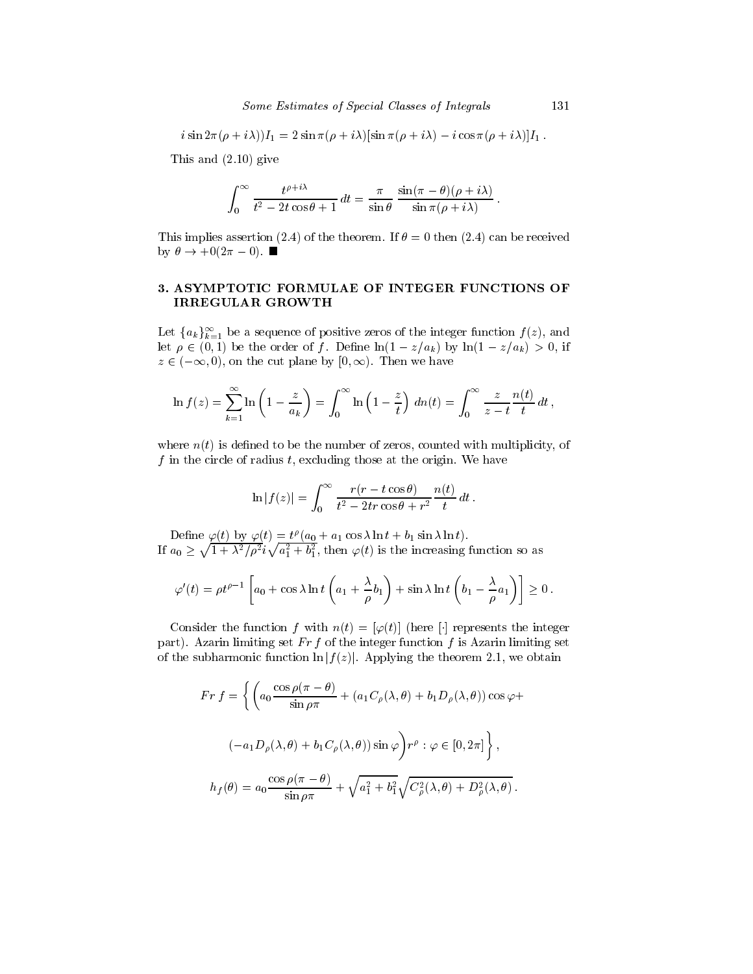$$
i\sin 2\pi(\rho+i\lambda)I_1 = 2\sin \pi(\rho+i\lambda)[\sin \pi(\rho+i\lambda) - i\cos \pi(\rho+i\lambda)]I_1.
$$

This and  $(2.10)$  give

$$
\int_0^\infty \frac{t^{\rho+i\lambda}}{t^2 - 2t\cos\theta + 1} dt = \frac{\pi}{\sin\theta} \frac{\sin(\pi - \theta)(\rho + i\lambda)}{\sin\pi(\rho + i\lambda)}.
$$

This implies assertion (2.4) of the theorem. If  $\theta = 0$  then (2.4) can be received by  $\theta \to +0(2\pi - 0)$ .

#### 3. ASYMPTOTIC FORMULAE OF INTEGER FUNCTIONS OF IRREGULAR GROWTH

Let  $\{a_k\}_{k=1}^\infty$  be a sequence of positive zeros of the integer function  $f(z)$ , and let  $\rho \in (0,1)$  be the order of f. Define  $\ln(1 - z/a_k)$  by  $\ln(1 - z/a_k) > 0$ , if  $z \in (-\infty, 0)$ , on the cut plane by  $(0, \infty)$ . Then we have

$$
\ln f(z) = \sum_{k=1}^{\infty} \ln \left( 1 - \frac{z}{a_k} \right) = \int_0^{\infty} \ln \left( 1 - \frac{z}{t} \right) \, dn(t) = \int_0^{\infty} \frac{z}{z - t} \frac{n(t)}{t} \, dt \, ,
$$

where  $n(t)$  is defined to be the number of zeros, counted with multiplicity, of f in the circle of radius  $t$ , excluding those at the origin. We have

$$
\ln|f(z)| = \int_0^\infty \frac{r(r - t\cos\theta)}{t^2 - 2tr\cos\theta + r^2} \frac{n(t)}{t} dt.
$$

Denne  $\varphi(t)$  by  $\varphi(t) = t^r (a_0 + a_1 \cos \lambda \ln t + b_1 \sin \lambda \ln t)$ .<br>If  $a_0 \ge \sqrt{1 + \lambda^2/\rho^2 i \sqrt{a_1^2 + b_1^2}}$ , then  $\varphi(t)$  is the increasing function so as

$$
\varphi'(t) = \rho t^{\rho-1} \left[ a_0 + \cos \lambda \ln t \left( a_1 + \frac{\lambda}{\rho} b_1 \right) + \sin \lambda \ln t \left( b_1 - \frac{\lambda}{\rho} a_1 \right) \right] \ge 0.
$$

Consider the function f with  $n(t) = [\varphi(t)]$  (here [] represents the integer part). Azarin limiting set  $Fr f$  of the integer function f is Azarin limiting set of the subharmonic function  $\ln |f(z)|$ . Applying the theorem 2.1, we obtain

$$
Fr f = \left\{ \left( a_0 \frac{\cos \rho (\pi - \theta)}{\sin \rho \pi} + (a_1 C_\rho (\lambda, \theta) + b_1 D_\rho (\lambda, \theta)) \cos \varphi + \right. \right.\left. (-a_1 D_\rho (\lambda, \theta) + b_1 C_\rho (\lambda, \theta)) \sin \varphi \right) r^\rho : \varphi \in [0, 2\pi] \right\},\
$$

$$
h_f(\theta) = a_0 \frac{\cos \rho (\pi - \theta)}{\sin \rho \pi} + \sqrt{a_1^2 + b_1^2} \sqrt{C_\rho^2 (\lambda, \theta) + D_\rho^2 (\lambda, \theta)}.
$$